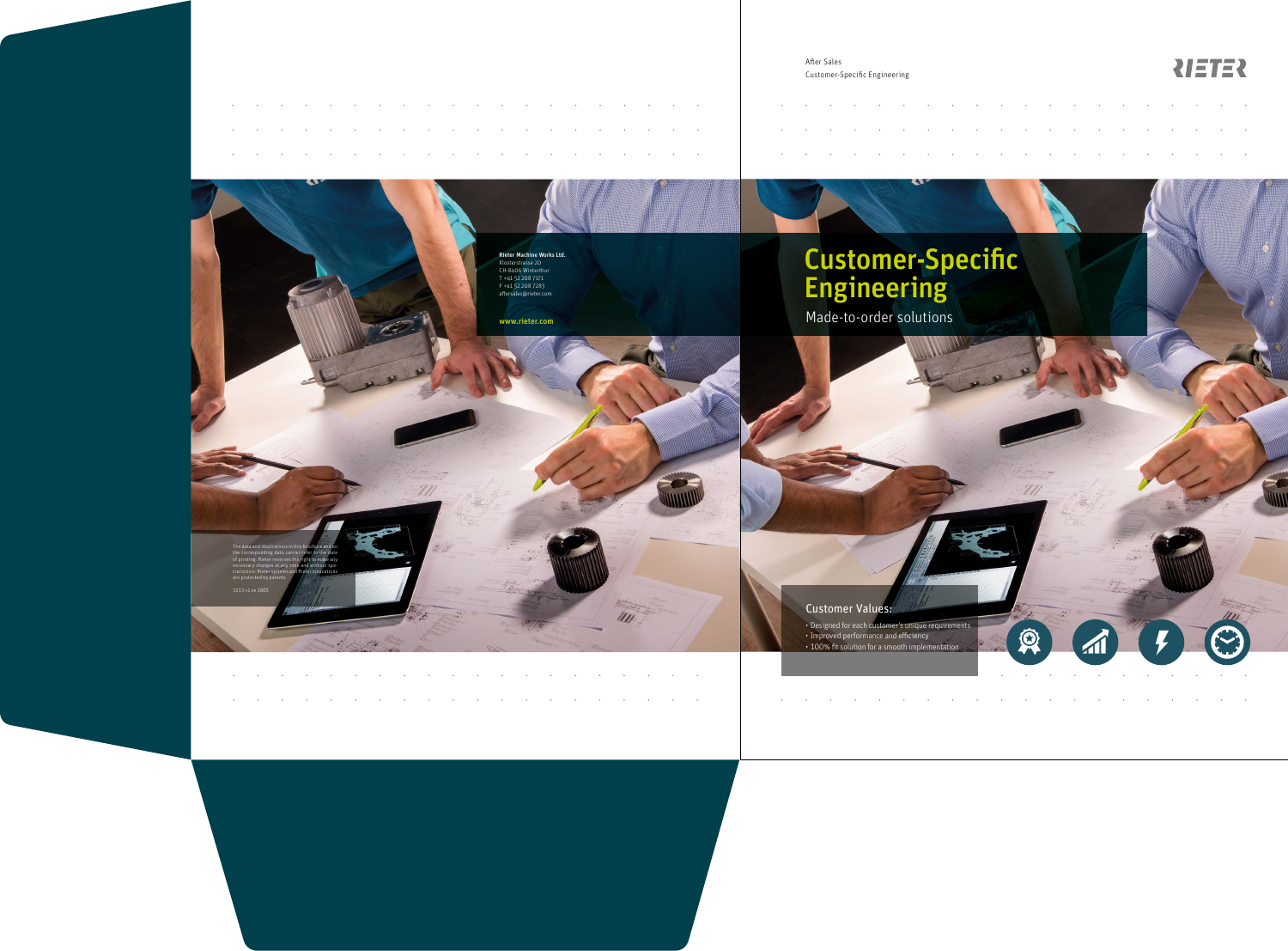After Sales Customer-Specific Engineering

NETER

| . The contract of the contract of the contract of the contract of the contract of the contract of the contract of the contract of the contract of the contract of the contract of the contract of the contract of the contrac |  |  |  |  |  |  |  |  |  |
|-------------------------------------------------------------------------------------------------------------------------------------------------------------------------------------------------------------------------------|--|--|--|--|--|--|--|--|--|
|                                                                                                                                                                                                                               |  |  |  |  |  |  |  |  |  |
|                                                                                                                                                                                                                               |  |  |  |  |  |  |  |  |  |
| to a control of the control of the control of the control of the control of the control of the control of the c                                                                                                               |  |  |  |  |  |  |  |  |  |
|                                                                                                                                                                                                                               |  |  |  |  |  |  |  |  |  |
|                                                                                                                                                                                                                               |  |  |  |  |  |  |  |  |  |
| the contract of the contract of the contract of the contract of the contract of the contract of the contract of                                                                                                               |  |  |  |  |  |  |  |  |  |

# **Customer-Specific** Engineering

Made-to-order solutions

### Customer Values:

- Designed for each customer's unique requirements
- Improved performance and efficiency
- 100% fit solution for a smooth implementation